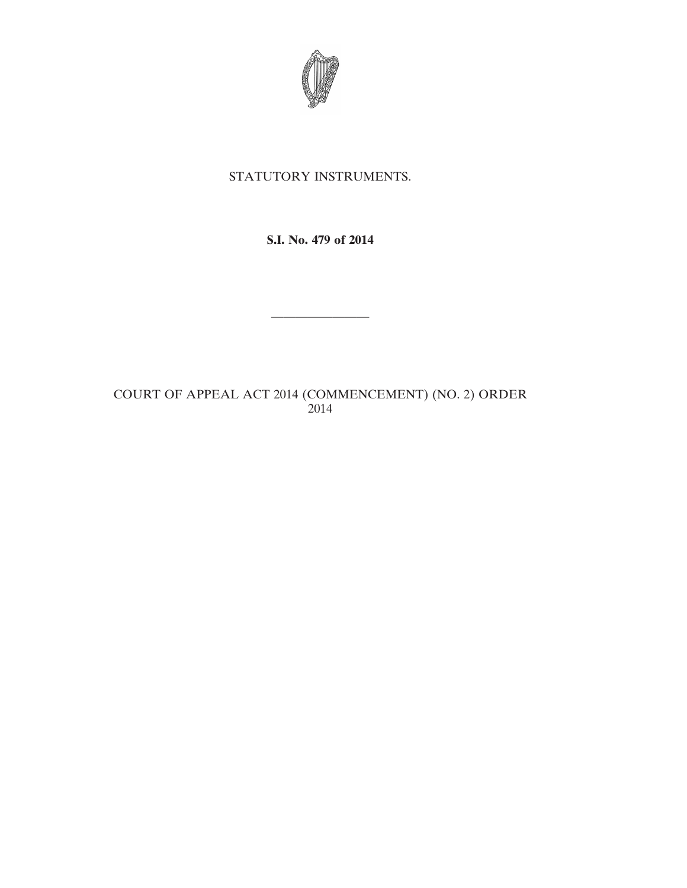

## STATUTORY INSTRUMENTS.

### **S.I. No. 479 of 2014**

————————

# COURT OF APPEAL ACT 2014 (COMMENCEMENT) (NO. 2) ORDER 2014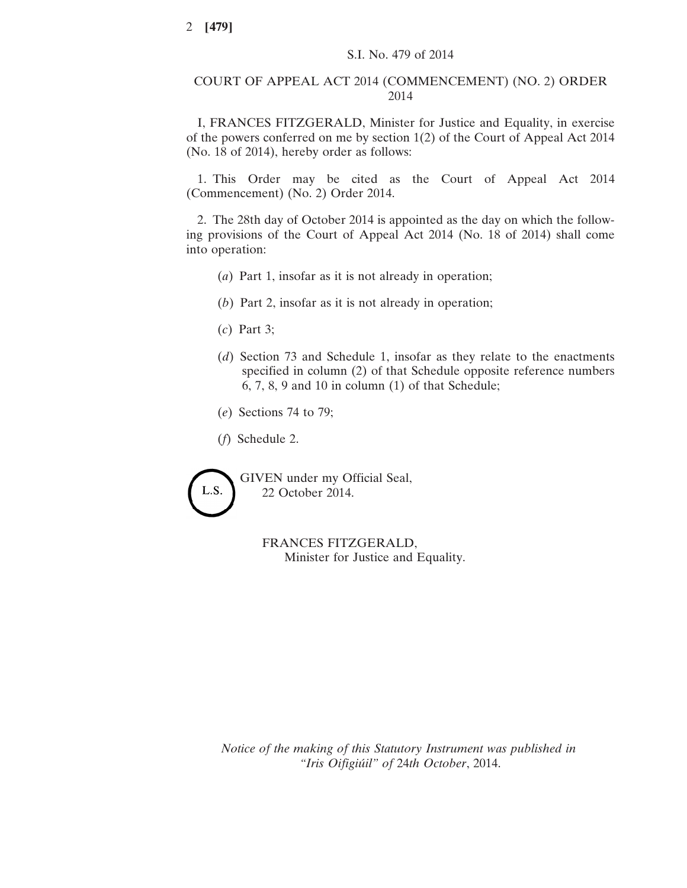#### COURT OF APPEAL ACT 2014 (COMMENCEMENT) (NO. 2) ORDER 2014

I, FRANCES FITZGERALD, Minister for Justice and Equality, in exercise of the powers conferred on me by section 1(2) of the Court of Appeal Act 2014 (No. 18 of 2014), hereby order as follows:

1. This Order may be cited as the Court of Appeal Act 2014 (Commencement) (No. 2) Order 2014.

2. The 28th day of October 2014 is appointed as the day on which the following provisions of the Court of Appeal Act 2014 (No. 18 of 2014) shall come into operation:

- (*a*) Part 1, insofar as it is not already in operation;
- (*b*) Part 2, insofar as it is not already in operation;
- (*c*) Part 3;
- (*d*) Section 73 and Schedule 1, insofar as they relate to the enactments specified in column (2) of that Schedule opposite reference numbers 6, 7, 8, 9 and 10 in column (1) of that Schedule;
- (*e*) Sections 74 to 79;
- (*f*) Schedule 2.



GIVEN under my Official Seal, 22 October 2014.

> FRANCES FITZGERALD, Minister for Justice and Equality.

*Notice of the making of this Statutory Instrument was published in "Iris Oifigiúil" of* 24*th October*, 2014.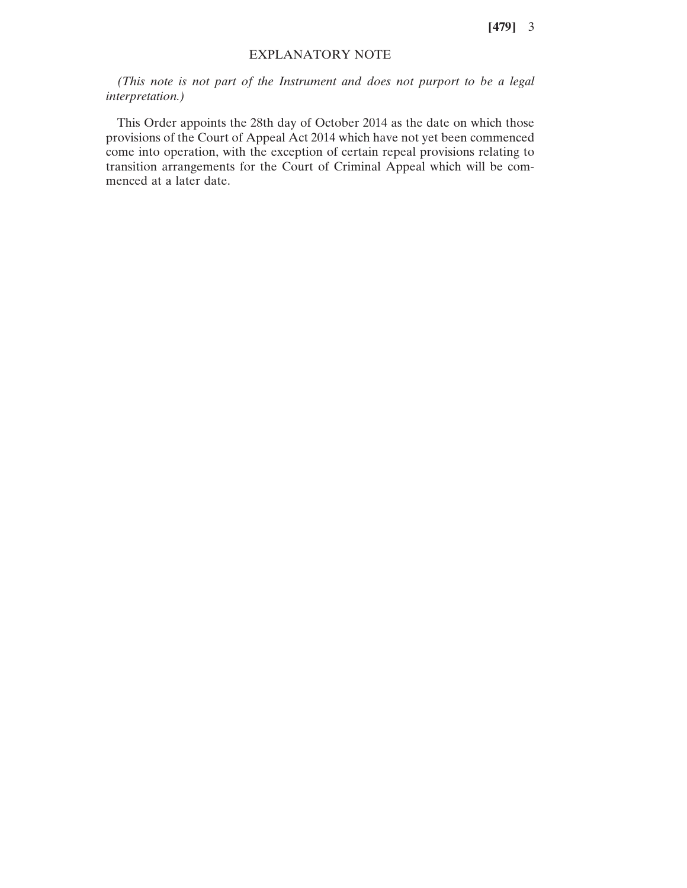**[479]** 3

#### EXPLANATORY NOTE

*(This note is not part of the Instrument and does not purport to be a legal interpretation.)*

This Order appoints the 28th day of October 2014 as the date on which those provisions of the Court of Appeal Act 2014 which have not yet been commenced come into operation, with the exception of certain repeal provisions relating to transition arrangements for the Court of Criminal Appeal which will be commenced at a later date.